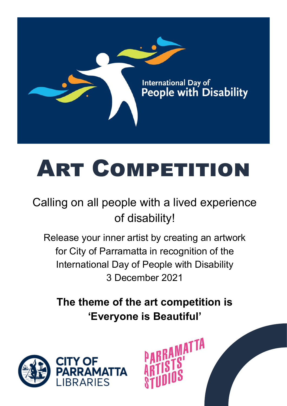

# **ART COMPETITION**

# Calling on all people with a lived experience of disability!

Release your inner artist by creating an artwork for City of Parramatta in recognition of the International Day of People with Disability 3 December 2021

**The theme of the art competition is 'Everyone is Beautiful'**

RAMATTA

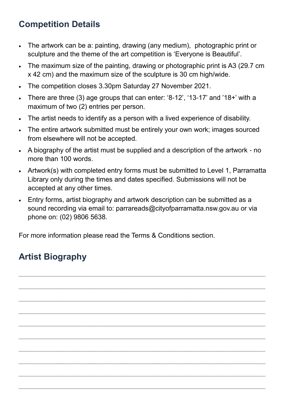#### **Competition Details**

- The artwork can be a: painting, drawing (any medium), photographic print or sculpture and the theme of the art competition is 'Everyone is Beautiful'.
- The maximum size of the painting, drawing or photographic print is A3 (29.7 cm x 42 cm) and the maximum size of the sculpture is 30 cm high/wide.
- The competition closes 3.30pm Saturday 27 November 2021.
- There are three (3) age groups that can enter: '8-12', '13-17' and '18+' with a maximum of two (2) entries per person.
- The artist needs to identify as a person with a lived experience of disability.
- The entire artwork submitted must be entirely your own work; images sourced from elsewhere will not be accepted.
- A biography of the artist must be supplied and a description of the artwork no more than 100 words.
- Artwork(s) with completed entry forms must be submitted to Level 1, Parramatta Library only during the times and dates specified. Submissions will not be accepted at any other times.
- Entry forms, artist biography and artwork description can be submitted as a sound recording via email to: parrareads@cityofparramatta.nsw.gov.au or via phone on: (02) 9806 5638.

 $\mathcal{L}_\text{max}$  and  $\mathcal{L}_\text{max}$  and  $\mathcal{L}_\text{max}$  and  $\mathcal{L}_\text{max}$  and  $\mathcal{L}_\text{max}$  and  $\mathcal{L}_\text{max}$ 

 $\mathcal{L}_\text{max}$  and  $\mathcal{L}_\text{max}$  and  $\mathcal{L}_\text{max}$  and  $\mathcal{L}_\text{max}$  and  $\mathcal{L}_\text{max}$  and  $\mathcal{L}_\text{max}$ 

 $\mathcal{L}_\text{max}$  and  $\mathcal{L}_\text{max}$  and  $\mathcal{L}_\text{max}$  and  $\mathcal{L}_\text{max}$  and  $\mathcal{L}_\text{max}$  and  $\mathcal{L}_\text{max}$ 

 $\mathcal{L}_\text{max}$  and  $\mathcal{L}_\text{max}$  and  $\mathcal{L}_\text{max}$  and  $\mathcal{L}_\text{max}$  and  $\mathcal{L}_\text{max}$  and  $\mathcal{L}_\text{max}$ 

 $\mathcal{L}_\text{max}$  and  $\mathcal{L}_\text{max}$  and  $\mathcal{L}_\text{max}$  and  $\mathcal{L}_\text{max}$  and  $\mathcal{L}_\text{max}$  and  $\mathcal{L}_\text{max}$ 

 $\mathcal{L}_\text{max}$  and  $\mathcal{L}_\text{max}$  and  $\mathcal{L}_\text{max}$  and  $\mathcal{L}_\text{max}$  and  $\mathcal{L}_\text{max}$  and  $\mathcal{L}_\text{max}$ 

 $\mathcal{L}_\text{max}$  and  $\mathcal{L}_\text{max}$  and  $\mathcal{L}_\text{max}$  and  $\mathcal{L}_\text{max}$  and  $\mathcal{L}_\text{max}$  and  $\mathcal{L}_\text{max}$ 

 $\mathcal{L}_\text{max}$  and  $\mathcal{L}_\text{max}$  and  $\mathcal{L}_\text{max}$  and  $\mathcal{L}_\text{max}$  and  $\mathcal{L}_\text{max}$  and  $\mathcal{L}_\text{max}$ 

 $\mathcal{L}_\text{max}$  and  $\mathcal{L}_\text{max}$  and  $\mathcal{L}_\text{max}$  and  $\mathcal{L}_\text{max}$  and  $\mathcal{L}_\text{max}$  and  $\mathcal{L}_\text{max}$ 

 $\mathcal{L}_\text{max}$  and  $\mathcal{L}_\text{max}$  and  $\mathcal{L}_\text{max}$  and  $\mathcal{L}_\text{max}$  and  $\mathcal{L}_\text{max}$  and  $\mathcal{L}_\text{max}$ 

For more information please read the Terms & Conditions section.

### **Artist Biography**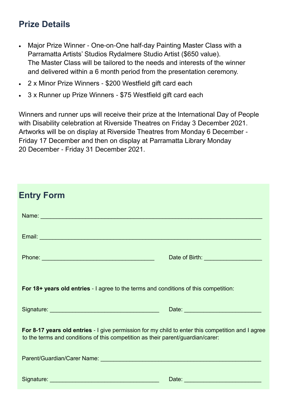#### **Prize Details**

- Major Prize Winner One-on-One half-day Painting Master Class with a Parramatta Artists' Studios Rydalmere Studio Artist (\$650 value). The Master Class will be tailored to the needs and interests of the winner and delivered within a 6 month period from the presentation ceremony.
- 2 x Minor Prize Winners \$200 Westfield gift card each
- 3 x Runner up Prize Winners \$75 Westfield gift card each

Winners and runner ups will receive their prize at the International Day of People with Disability celebration at Riverside Theatres on Friday 3 December 2021. Artworks will be on display at Riverside Theatres from Monday 6 December - Friday 17 December and then on display at Parramatta Library Monday 20 December - Friday 31 December 2021.

| <b>Entry Form</b>                                                                                                                                                                                                              |                                        |
|--------------------------------------------------------------------------------------------------------------------------------------------------------------------------------------------------------------------------------|----------------------------------------|
| Name: Name: Name: Name: Name: Name: Name: Name: Name: Name: Name: Name: Name: Name: Name: Name: Name: Name: Na                                                                                                                 |                                        |
|                                                                                                                                                                                                                                |                                        |
| Phone: New York Street, New York Street, New York Street, New York Street, New York Street, New York Street, New York Street, New York Street, New York Street, New York Street, New York Street, New York Street, New York St | Date of Birth: _______________________ |
| <b>For 18+ years old entries</b> - I agree to the terms and conditions of this competition:                                                                                                                                    |                                        |
|                                                                                                                                                                                                                                |                                        |
| For 8-17 years old entries - I give permission for my child to enter this competition and I agree<br>to the terms and conditions of this competition as their parent/guardian/carer:                                           |                                        |
| Parent/Guardian/Carer Name: [19] Parameters and the contract of the contract of the contract of the contract of                                                                                                                |                                        |
|                                                                                                                                                                                                                                |                                        |